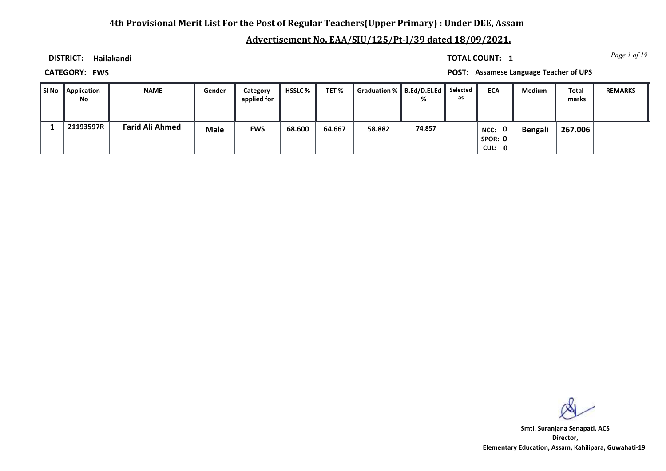## **4th Provisional Merit List For the Post of Regular Teachers(Upper Primary) : Under DEE, Assam**

# **Advertisement No. EAA/SIU/125/Pt-I/39 dated 18/09/2021.**

**DISTRICT: Hailakandi**

*Page 1 of 19* **TOTAL COUNT: 1**

**CATEGORY: EWS POST: Assamese Language Teacher of UPS**

| SI No | Application<br>No | <b>NAME</b>            | Gender      | Category<br>applied for | <b>HSSLC</b> % | TET %  | Graduation %   B.Ed/D.El.Ed | %      | Selected<br>as | <b>ECA</b>                                | <b>Medium</b> | Total<br>marks | <b>REMARKS</b> |
|-------|-------------------|------------------------|-------------|-------------------------|----------------|--------|-----------------------------|--------|----------------|-------------------------------------------|---------------|----------------|----------------|
|       | 21193597R         | <b>Farid Ali Ahmed</b> | <b>Male</b> | <b>EWS</b>              | 68.600         | 64.667 | 58.882                      | 74.857 |                | $\mathbf{0}$<br>NCC:<br>SPOR: 0<br>CUL: 0 | Bengali       | 267.006        |                |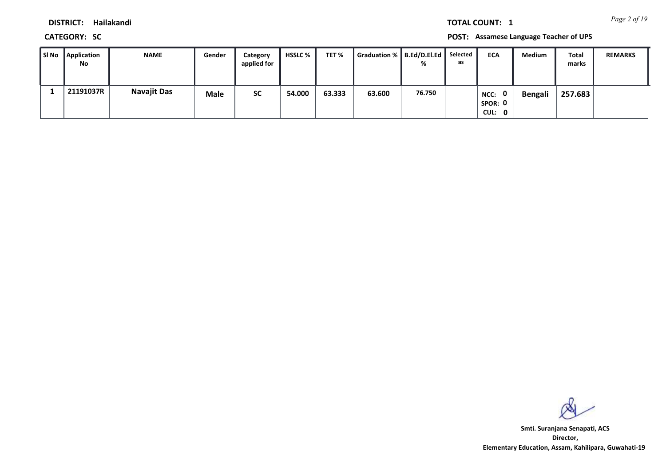*Page 2 of 19* **TOTAL COUNT: 1**

**DISTRICT: Hailakandi**

**CATEGORY: SC POST: Assamese Language Teacher of UPS**

| SI No | <b>Application</b><br>No | <b>NAME</b>        | Gender | Category<br>applied for | <b>HSSLC</b> % | TET %  | Graduation % B.Ed/D.El.Ed | %      | Selected<br>as | <b>ECA</b>                                | <b>Medium</b>  | Total<br>marks | <b>REMARKS</b> |
|-------|--------------------------|--------------------|--------|-------------------------|----------------|--------|---------------------------|--------|----------------|-------------------------------------------|----------------|----------------|----------------|
|       | 21191037R                | <b>Navajit Das</b> | Male   | <b>SC</b>               | 54.000         | 63.333 | 63.600                    | 76.750 |                | $\mathbf{0}$<br>NCC:<br>SPOR: 0<br>CUL: 0 | <b>Bengali</b> | 257.683        |                |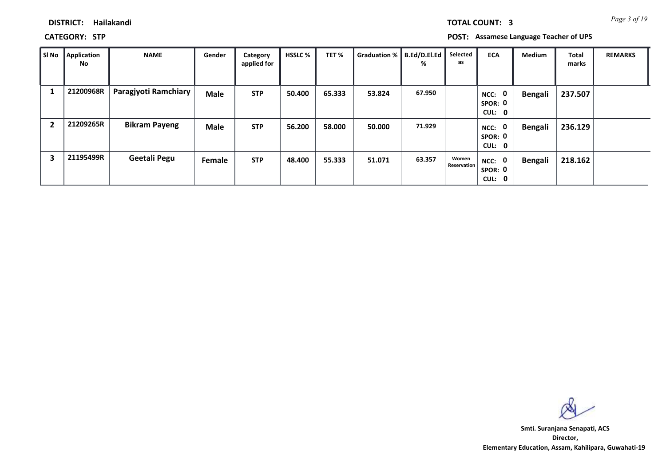*Page 3 of 19* **TOTAL COUNT: 3**

## **DISTRICT: Hailakandi**

**CATEGORY: STP POST: Assamese Language Teacher of UPS**

| SI No | <b>Application</b><br>No | <b>NAME</b>          | Gender      | Category<br>applied for | <b>HSSLC %</b> | TET%   | Graduation % | B.Ed/D.El.Ed<br>% | Selected<br>as       | <b>ECA</b>                       | <b>Medium</b>  | Total<br>marks | <b>REMARKS</b> |
|-------|--------------------------|----------------------|-------------|-------------------------|----------------|--------|--------------|-------------------|----------------------|----------------------------------|----------------|----------------|----------------|
|       | 21200968R                | Paragjyoti Ramchiary | <b>Male</b> | <b>STP</b>              | 50.400         | 65.333 | 53.824       | 67.950            |                      | - 0<br>NCC:<br>SPOR: 0<br>CUL: 0 | <b>Bengali</b> | 237.507        |                |
| 2     | 21209265R                | <b>Bikram Payeng</b> | <b>Male</b> | <b>STP</b>              | 56.200         | 58.000 | 50.000       | 71.929            |                      | 0<br>NCC:<br>SPOR: 0<br>CUL: 0   | <b>Bengali</b> | 236.129        |                |
| 3     | 21195499R                | Geetali Pegu         | Female      | <b>STP</b>              | 48.400         | 55.333 | 51.071       | 63.357            | Women<br>Reservation | NCC: 0<br>SPOR: 0<br>CUL: 0      | <b>Bengali</b> | 218.162        |                |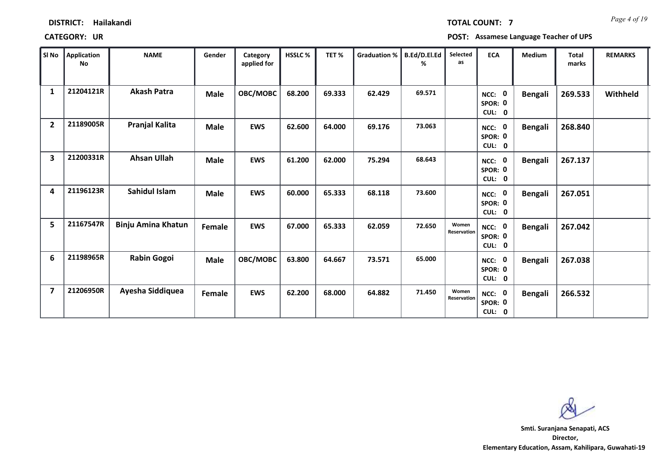| <b>DISTRICT:</b> | Hailakandi |
|------------------|------------|
|------------------|------------|

*Page 4 of 19* **TOTAL COUNT: 7**

**CATEGORY: UR POST: Assamese Language Teacher of UPS**

| SI No                   | Application<br><b>No</b> | <b>NAME</b>               | Gender      | Category<br>applied for | <b>HSSLC%</b> | TET%   | Graduation % | B.Ed/D.El.Ed<br>℅ | Selected<br>as       | <b>ECA</b>                                            | <b>Medium</b>  | <b>Total</b><br>marks | <b>REMARKS</b> |
|-------------------------|--------------------------|---------------------------|-------------|-------------------------|---------------|--------|--------------|-------------------|----------------------|-------------------------------------------------------|----------------|-----------------------|----------------|
| 1                       | 21204121R                | <b>Akash Patra</b>        | <b>Male</b> | OBC/MOBC                | 68.200        | 69.333 | 62.429       | 69.571            |                      | $\mathbf 0$<br>NCC:<br>SPOR: 0<br>CUL:<br>$\mathbf 0$ | <b>Bengali</b> | 269.533               | Withheld       |
| $\overline{2}$          | 21189005R                | Pranjal Kalita            | <b>Male</b> | <b>EWS</b>              | 62.600        | 64.000 | 69.176       | 73.063            |                      | $\mathbf 0$<br>NCC:<br>SPOR: 0<br>CUL: 0              | <b>Bengali</b> | 268.840               |                |
| 3                       | 21200331R                | <b>Ahsan Ullah</b>        | <b>Male</b> | <b>EWS</b>              | 61.200        | 62.000 | 75.294       | 68.643            |                      | $\mathbf 0$<br>NCC:<br>SPOR: 0<br>CUL:<br>$\bf{0}$    | <b>Bengali</b> | 267.137               |                |
| 4                       | 21196123R                | Sahidul Islam             | <b>Male</b> | <b>EWS</b>              | 60.000        | 65.333 | 68.118       | 73.600            |                      | $\mathbf 0$<br>NCC:<br>SPOR: 0<br>CUL: 0              | <b>Bengali</b> | 267.051               |                |
| 5                       | 21167547R                | <b>Binju Amina Khatun</b> | Female      | <b>EWS</b>              | 67.000        | 65.333 | 62.059       | 72.650            | Women<br>Reservation | $\mathbf 0$<br>NCC:<br>SPOR: 0<br>CUL: 0              | <b>Bengali</b> | 267.042               |                |
| 6                       | 21198965R                | <b>Rabin Gogoi</b>        | <b>Male</b> | OBC/MOBC                | 63.800        | 64.667 | 73.571       | 65.000            |                      | $\mathbf 0$<br>NCC:<br>SPOR: 0<br>CUL: 0              | <b>Bengali</b> | 267.038               |                |
| $\overline{\mathbf{z}}$ | 21206950R                | Ayesha Siddiquea          | Female      | <b>EWS</b>              | 62.200        | 68.000 | 64.882       | 71.450            | Women<br>Reservation | $\mathbf 0$<br>NCC:<br>SPOR: 0<br>CUL: 0              | <b>Bengali</b> | 266.532               |                |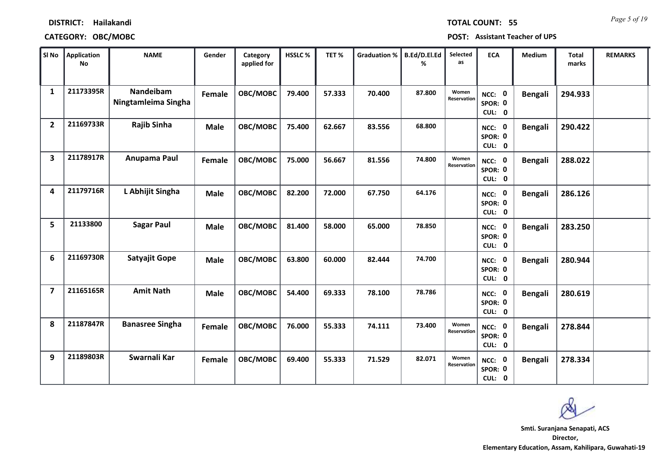**CATEGORY: OBC/MOBC POST: Assistant Teacher of UPS**

| SI No                   | Application<br><b>No</b> | <b>NAME</b>                      | Gender      | Category<br>applied for | HSSLC% | TET%   | <b>Graduation %</b> | B.Ed/D.El.Ed<br>% | Selected<br>as       | <b>ECA</b>                               | <b>Medium</b>  | <b>Total</b><br>marks | <b>REMARKS</b> |
|-------------------------|--------------------------|----------------------------------|-------------|-------------------------|--------|--------|---------------------|-------------------|----------------------|------------------------------------------|----------------|-----------------------|----------------|
| 1                       | 21173395R                | Nandeibam<br>Ningtamleima Singha | Female      | OBC/MOBC                | 79.400 | 57.333 | 70.400              | 87.800            | Women<br>Reservation | $\mathbf 0$<br>NCC:<br>SPOR: 0<br>CUL: 0 | <b>Bengali</b> | 294.933               |                |
| $\overline{2}$          | 21169733R                | <b>Rajib Sinha</b>               | <b>Male</b> | OBC/MOBC                | 75.400 | 62.667 | 83.556              | 68.800            |                      | NCC: 0<br>SPOR: 0<br>CUL: 0              | <b>Bengali</b> | 290.422               |                |
| $\overline{\mathbf{3}}$ | 21178917R                | Anupama Paul                     | Female      | OBC/MOBC                | 75.000 | 56.667 | 81.556              | 74.800            | Women<br>Reservation | NCC: 0<br>SPOR: 0<br>CUL: 0              | <b>Bengali</b> | 288.022               |                |
| 4                       | 21179716R                | L Abhijit Singha                 | <b>Male</b> | OBC/MOBC                | 82.200 | 72.000 | 67.750              | 64.176            |                      | NCC: 0<br>SPOR: 0<br>CUL: 0              | Bengali        | 286.126               |                |
| 5                       | 21133800                 | <b>Sagar Paul</b>                | <b>Male</b> | OBC/MOBC                | 81.400 | 58.000 | 65.000              | 78.850            |                      | NCC: 0<br>SPOR: 0<br>CUL: 0              | <b>Bengali</b> | 283.250               |                |
| 6                       | 21169730R                | Satyajit Gope                    | <b>Male</b> | OBC/MOBC                | 63.800 | 60.000 | 82.444              | 74.700            |                      | NCC: 0<br>SPOR: 0<br>CUL: 0              | <b>Bengali</b> | 280.944               |                |
| $\overline{\mathbf{z}}$ | 21165165R                | <b>Amit Nath</b>                 | <b>Male</b> | OBC/MOBC                | 54.400 | 69.333 | 78.100              | 78.786            |                      | NCC: 0<br>SPOR: 0<br>CUL: 0              | Bengali        | 280.619               |                |
| 8                       | 21187847R                | <b>Banasree Singha</b>           | Female      | OBC/MOBC                | 76.000 | 55.333 | 74.111              | 73.400            | Women<br>Reservation | <b>NCC: 0</b><br>SPOR: 0<br>CUL: 0       | Bengali        | 278.844               |                |
| 9                       | 21189803R                | Swarnali Kar                     | Female      | OBC/MOBC                | 69.400 | 55.333 | 71.529              | 82.071            | Women<br>Reservation | <b>NCC: 0</b><br>SPOR: 0<br>CUL: 0       | <b>Bengali</b> | 278.334               |                |

*Page 5 of 19* **TOTAL COUNT: 55**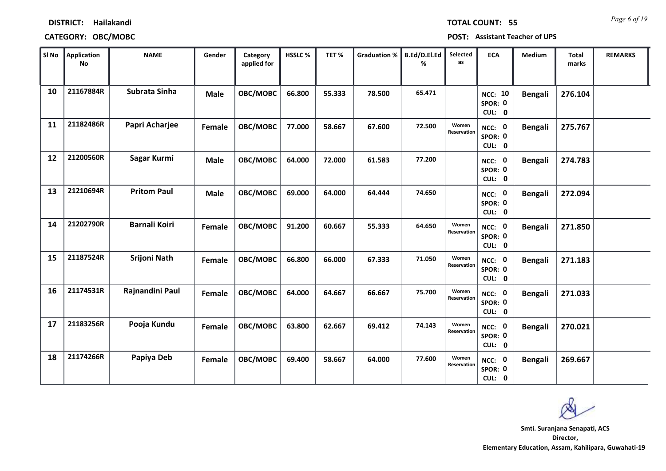# **DISTRICT: Hailakandi CATEGORY: OBC/MOBC POST: Assistant Teacher of UPS**

| SI No | <b>Application</b><br><b>No</b> | <b>NAME</b>          | Gender      | Category<br>applied for | <b>HSSLC%</b> | TET%   | <b>Graduation %</b> | B.Ed/D.El.Ed<br>% | Selected<br>as       | <b>ECA</b>                               | Medium         | <b>Total</b><br>marks | <b>REMARKS</b> |
|-------|---------------------------------|----------------------|-------------|-------------------------|---------------|--------|---------------------|-------------------|----------------------|------------------------------------------|----------------|-----------------------|----------------|
| 10    | 21167884R                       | Subrata Sinha        | <b>Male</b> | OBC/MOBC                | 66.800        | 55.333 | 78.500              | 65.471            |                      | <b>NCC: 10</b><br>SPOR: 0<br>CUL: 0      | <b>Bengali</b> | 276.104               |                |
| 11    | 21182486R                       | Papri Acharjee       | Female      | OBC/MOBC                | 77.000        | 58.667 | 67.600              | 72.500            | Women<br>Reservation | NCC: 0<br>SPOR: 0<br>CUL: 0              | <b>Bengali</b> | 275.767               |                |
| 12    | 21200560R                       | Sagar Kurmi          | <b>Male</b> | OBC/MOBC                | 64.000        | 72.000 | 61.583              | 77.200            |                      | NCC: 0<br>SPOR: 0<br>CUL: 0              | <b>Bengali</b> | 274.783               |                |
| 13    | 21210694R                       | <b>Pritom Paul</b>   | <b>Male</b> | OBC/MOBC                | 69.000        | 64.000 | 64.444              | 74.650            |                      | $\mathbf 0$<br>NCC:<br>SPOR: 0<br>CUL: 0 | <b>Bengali</b> | 272.094               |                |
| 14    | 21202790R                       | <b>Barnali Koiri</b> | Female      | OBC/MOBC                | 91.200        | 60.667 | 55.333              | 64.650            | Women<br>Reservation | NCC: 0<br>SPOR: 0<br>CUL: 0              | <b>Bengali</b> | 271.850               |                |
| 15    | 21187524R                       | <b>Srijoni Nath</b>  | Female      | OBC/MOBC                | 66.800        | 66.000 | 67.333              | 71.050            | Women<br>Reservation | NCC: 0<br>SPOR: 0<br>CUL: 0              | <b>Bengali</b> | 271.183               |                |
| 16    | 21174531R                       | Rajnandini Paul      | Female      | OBC/MOBC                | 64.000        | 64.667 | 66.667              | 75.700            | Women<br>Reservation | NCC: 0<br>SPOR: 0<br>CUL: 0              | <b>Bengali</b> | 271.033               |                |
| 17    | 21183256R                       | Pooja Kundu          | Female      | OBC/MOBC                | 63.800        | 62.667 | 69.412              | 74.143            | Women<br>Reservation | <b>NCC: 0</b><br>SPOR: 0<br>CUL: 0       | <b>Bengali</b> | 270.021               |                |
| 18    | 21174266R                       | Papiya Deb           | Female      | OBC/MOBC                | 69.400        | 58.667 | 64.000              | 77.600            | Women<br>Reservation | <b>NCC: 0</b><br>SPOR: 0<br>CUL: 0       | <b>Bengali</b> | 269.667               |                |

**Director, Elementary Education, Assam, Kahilipara, Guwahati-19 Smti. Suranjana Senapati, ACS**

*Page 6 of 19* **TOTAL COUNT: 55**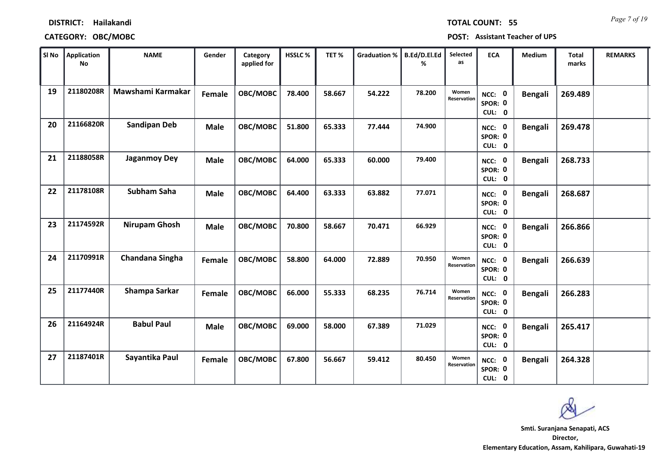|  | <b>TOTAL COUNT:</b> |   |
|--|---------------------|---|
|  |                     | 5 |

## **CATEGORY: OBC/MOBC POST: Assistant Teacher of UPS**

| SI No | <b>Application</b><br><b>No</b> | <b>NAME</b>         | Gender      | Category<br>applied for | <b>HSSLC%</b> | TET%   | <b>Graduation %</b> | B.Ed/D.El.Ed<br>% | Selected<br>as       | <b>ECA</b>                         | <b>Medium</b>  | <b>Total</b><br>marks | <b>REMARKS</b> |
|-------|---------------------------------|---------------------|-------------|-------------------------|---------------|--------|---------------------|-------------------|----------------------|------------------------------------|----------------|-----------------------|----------------|
| 19    | 21180208R                       | Mawshami Karmakar   | Female      | OBC/MOBC                | 78.400        | 58.667 | 54.222              | 78.200            | Women<br>Reservation | NCC: 0<br>SPOR: 0<br>CUL: 0        | <b>Bengali</b> | 269.489               |                |
| 20    | 21166820R                       | <b>Sandipan Deb</b> | <b>Male</b> | OBC/MOBC                | 51.800        | 65.333 | 77.444              | 74.900            |                      | NCC: 0<br>SPOR: 0<br>CUL: 0        | <b>Bengali</b> | 269.478               |                |
| 21    | 21188058R                       | <b>Jaganmoy Dey</b> | <b>Male</b> | OBC/MOBC                | 64.000        | 65.333 | 60.000              | 79.400            |                      | NCC: 0<br>SPOR: 0<br>CUL: 0        | <b>Bengali</b> | 268.733               |                |
| 22    | 21178108R                       | Subham Saha         | <b>Male</b> | OBC/MOBC                | 64.400        | 63.333 | 63.882              | 77.071            |                      | NCC: 0<br>SPOR: 0<br>CUL: 0        | <b>Bengali</b> | 268.687               |                |
| 23    | 21174592R                       | Nirupam Ghosh       | <b>Male</b> | OBC/MOBC                | 70.800        | 58.667 | 70.471              | 66.929            |                      | NCC: 0<br>SPOR: 0<br>CUL: 0        | <b>Bengali</b> | 266.866               |                |
| 24    | 21170991R                       | Chandana Singha     | Female      | OBC/MOBC                | 58.800        | 64.000 | 72.889              | 70.950            | Women<br>Reservation | NCC: 0<br>SPOR: 0<br>CUL: 0        | <b>Bengali</b> | 266.639               |                |
| 25    | 21177440R                       | Shampa Sarkar       | Female      | OBC/MOBC                | 66.000        | 55.333 | 68.235              | 76.714            | Women<br>Reservation | NCC: 0<br>SPOR: 0<br>CUL: 0        | <b>Bengali</b> | 266.283               |                |
| 26    | 21164924R                       | <b>Babul Paul</b>   | <b>Male</b> | OBC/MOBC                | 69.000        | 58.000 | 67.389              | 71.029            |                      | <b>NCC: 0</b><br>SPOR: 0<br>CUL: 0 | <b>Bengali</b> | 265.417               |                |
| 27    | 21187401R                       | Sayantika Paul      | Female      | OBC/MOBC                | 67.800        | 56.667 | 59.412              | 80.450            | Women<br>Reservation | NCC: 0<br>SPOR: 0<br>CUL: 0        | <b>Bengali</b> | 264.328               |                |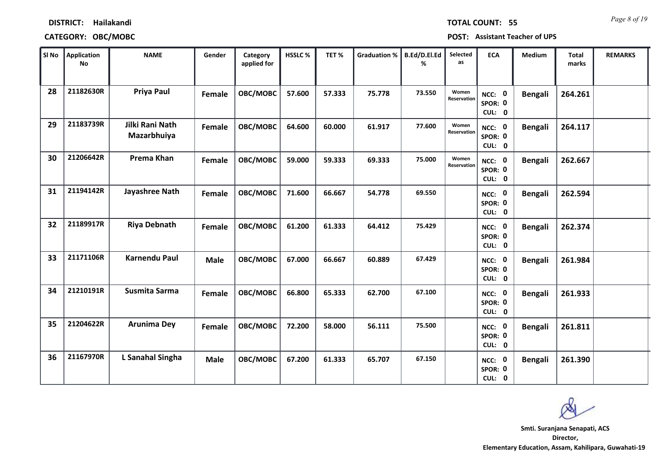## **CATEGORY: OBC/MOBC POST: Assistant Teacher of UPS**

| SI No | <b>Application</b><br><b>No</b> | <b>NAME</b>                    | Gender      | Category<br>applied for | HSSLC% | TET%   | <b>Graduation %</b> | B.Ed/D.El.Ed<br>% | Selected<br>as              | <b>ECA</b>                         | <b>Medium</b>  | Total<br>marks | <b>REMARKS</b> |
|-------|---------------------------------|--------------------------------|-------------|-------------------------|--------|--------|---------------------|-------------------|-----------------------------|------------------------------------|----------------|----------------|----------------|
| 28    | 21182630R                       | <b>Priya Paul</b>              | Female      | OBC/MOBC                | 57.600 | 57.333 | 75.778              | 73.550            | Women<br><b>Reservation</b> | NCC: 0<br>SPOR: 0<br>CUL: 0        | <b>Bengali</b> | 264.261        |                |
| 29    | 21183739R                       | Jilki Rani Nath<br>Mazarbhuiya | Female      | OBC/MOBC                | 64.600 | 60.000 | 61.917              | 77.600            | Women<br>Reservation        | NCC: 0<br>SPOR: 0<br>CUL: 0        | <b>Bengali</b> | 264.117        |                |
| 30    | 21206642R                       | Prema Khan                     | Female      | OBC/MOBC                | 59.000 | 59.333 | 69.333              | 75.000            | Women<br><b>Reservation</b> | NCC: 0<br>SPOR: 0<br>CUL: 0        | <b>Bengali</b> | 262.667        |                |
| 31    | 21194142R                       | Jayashree Nath                 | Female      | OBC/MOBC                | 71.600 | 66.667 | 54.778              | 69.550            |                             | NCC: 0<br>SPOR: 0<br>CUL: 0        | <b>Bengali</b> | 262.594        |                |
| 32    | 21189917R                       | <b>Riya Debnath</b>            | Female      | OBC/MOBC                | 61.200 | 61.333 | 64.412              | 75.429            |                             | NCC: 0<br>SPOR: 0<br>CUL: 0        | <b>Bengali</b> | 262.374        |                |
| 33    | 21171106R                       | <b>Karnendu Paul</b>           | <b>Male</b> | OBC/MOBC                | 67.000 | 66.667 | 60.889              | 67.429            |                             | NCC: 0<br>SPOR: 0<br>CUL: 0        | <b>Bengali</b> | 261.984        |                |
| 34    | 21210191R                       | Susmita Sarma                  | Female      | OBC/MOBC                | 66.800 | 65.333 | 62.700              | 67.100            |                             | NCC: 0<br>SPOR: 0<br>CUL: 0        | <b>Bengali</b> | 261.933        |                |
| 35    | 21204622R                       | <b>Arunima Dey</b>             | Female      | OBC/MOBC                | 72.200 | 58.000 | 56.111              | 75.500            |                             | <b>NCC: 0</b><br>SPOR: 0<br>CUL: 0 | <b>Bengali</b> | 261.811        |                |
| 36    | 21167970R                       | L Sanahal Singha               | <b>Male</b> | OBC/MOBC                | 67.200 | 61.333 | 65.707              | 67.150            |                             | NCC: 0<br>SPOR: 0<br>CUL: 0        | <b>Bengali</b> | 261.390        |                |

*Page 8 of 19* **TOTAL COUNT: 55**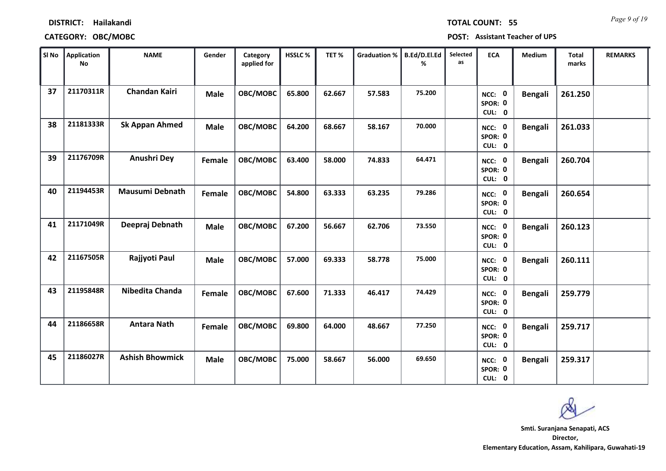| <b>TOTAL COUNT:</b> |  |  |  |  |
|---------------------|--|--|--|--|
|                     |  |  |  |  |
|                     |  |  |  |  |

## **CATEGORY: OBC/MOBC POST: Assistant Teacher of UPS**

| ∥ SI No | <b>Application</b><br><b>No</b> | <b>NAME</b>            | Gender      | Category<br>applied for | HSSLC % | TET%   | <b>Graduation %</b> | B.Ed/D.El.Ed<br>% | Selected<br>as | <b>ECA</b>                               | Medium         | <b>Total</b><br>marks | <b>REMARKS</b> |
|---------|---------------------------------|------------------------|-------------|-------------------------|---------|--------|---------------------|-------------------|----------------|------------------------------------------|----------------|-----------------------|----------------|
| 37      | 21170311R                       | <b>Chandan Kairi</b>   | <b>Male</b> | OBC/MOBC                | 65.800  | 62.667 | 57.583              | 75.200            |                | NCC: 0<br>SPOR: 0<br>CUL: 0              | <b>Bengali</b> | 261.250               |                |
| 38      | 21181333R                       | <b>Sk Appan Ahmed</b>  | <b>Male</b> | OBC/MOBC                | 64.200  | 68.667 | 58.167              | 70.000            |                | NCC: 0<br>SPOR: 0<br>CUL: 0              | Bengali        | 261.033               |                |
| 39      | 21176709R                       | Anushri Dey            | Female      | OBC/MOBC                | 63.400  | 58.000 | 74.833              | 64.471            |                | NCC: 0<br>SPOR: 0<br>CUL: 0              | <b>Bengali</b> | 260.704               |                |
| 40      | 21194453R                       | <b>Mausumi Debnath</b> | Female      | OBC/MOBC                | 54.800  | 63.333 | 63.235              | 79.286            |                | $\mathbf 0$<br>NCC:<br>SPOR: 0<br>CUL: 0 | <b>Bengali</b> | 260.654               |                |
| 41      | 21171049R                       | Deepraj Debnath        | <b>Male</b> | OBC/MOBC                | 67.200  | 56.667 | 62.706              | 73.550            |                | NCC: 0<br>SPOR: 0<br>CUL: 0              | <b>Bengali</b> | 260.123               |                |
| 42      | 21167505R                       | Rajjyoti Paul          | <b>Male</b> | OBC/MOBC                | 57.000  | 69.333 | 58.778              | 75.000            |                | NCC: 0<br>SPOR: 0<br>CUL: 0              | <b>Bengali</b> | 260.111               |                |
| 43      | 21195848R                       | Nibedita Chanda        | Female      | OBC/MOBC                | 67.600  | 71.333 | 46.417              | 74.429            |                | NCC: 0<br>SPOR: 0<br>CUL: 0              | <b>Bengali</b> | 259.779               |                |
| 44      | 21186658R                       | <b>Antara Nath</b>     | Female      | OBC/MOBC                | 69.800  | 64.000 | 48.667              | 77.250            |                | <b>NCC: 0</b><br>SPOR: 0<br>CUL: 0       | Bengali        | 259.717               |                |
| 45      | 21186027R                       | <b>Ashish Bhowmick</b> | <b>Male</b> | OBC/MOBC                | 75.000  | 58.667 | 56.000              | 69.650            |                | <b>NCC: 0</b><br>SPOR: 0<br>CUL: 0       | Bengali        | 259.317               |                |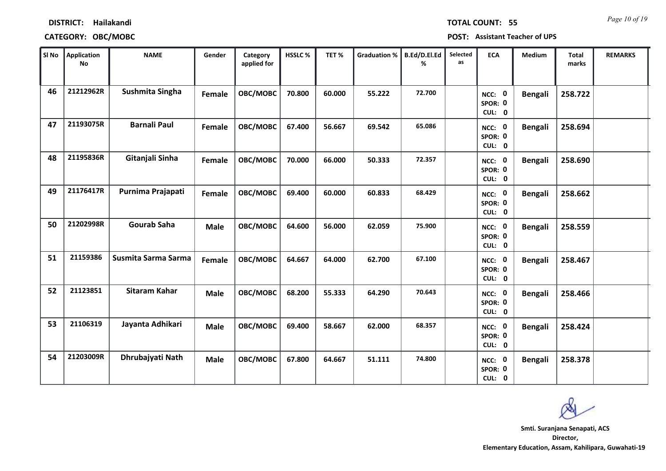|  | TOTAL COUNT: |  | -5 |
|--|--------------|--|----|
|  |              |  |    |
|  |              |  |    |

## **CATEGORY: OBC/MOBC POST: Assistant Teacher of UPS**

| $ $ SI No $ $ | <b>Application</b><br>No | <b>NAME</b>         | Gender      | Category<br>applied for | HSSLC% | TET%   | <b>Graduation %</b> | B.Ed/D.El.Ed<br>℅ | Selected<br>as | <b>ECA</b>                         | <b>Medium</b>  | <b>Total</b><br>marks | <b>REMARKS</b> |
|---------------|--------------------------|---------------------|-------------|-------------------------|--------|--------|---------------------|-------------------|----------------|------------------------------------|----------------|-----------------------|----------------|
| 46            | 21212962R                | Sushmita Singha     | Female      | OBC/MOBC                | 70.800 | 60.000 | 55.222              | 72.700            |                | NCC: 0<br>SPOR: 0<br>CUL: 0        | <b>Bengali</b> | 258.722               |                |
| 47            | 21193075R                | <b>Barnali Paul</b> | Female      | OBC/MOBC                | 67.400 | 56.667 | 69.542              | 65.086            |                | NCC: 0<br>SPOR: 0<br>CUL: 0        | <b>Bengali</b> | 258.694               |                |
| 48            | 21195836R                | Gitanjali Sinha     | Female      | OBC/MOBC                | 70.000 | 66.000 | 50.333              | 72.357            |                | NCC: 0<br>SPOR: 0<br>CUL: 0        | <b>Bengali</b> | 258.690               |                |
| 49            | 21176417R                | Purnima Prajapati   | Female      | OBC/MOBC                | 69.400 | 60.000 | 60.833              | 68.429            |                | NCC: 0<br>SPOR: 0<br>CUL: 0        | <b>Bengali</b> | 258.662               |                |
| 50            | 21202998R                | <b>Gourab Saha</b>  | <b>Male</b> | OBC/MOBC                | 64.600 | 56.000 | 62.059              | 75.900            |                | NCC: 0<br>SPOR: 0<br>CUL: 0        | <b>Bengali</b> | 258.559               |                |
| 51            | 21159386                 | Susmita Sarma Sarma | Female      | OBC/MOBC                | 64.667 | 64.000 | 62.700              | 67.100            |                | NCC: 0<br>SPOR: 0<br>CUL: 0        | <b>Bengali</b> | 258.467               |                |
| 52            | 21123851                 | Sitaram Kahar       | <b>Male</b> | OBC/MOBC                | 68.200 | 55.333 | 64.290              | 70.643            |                | NCC: 0<br>SPOR: 0<br>CUL: 0        | <b>Bengali</b> | 258.466               |                |
| 53            | 21106319                 | Jayanta Adhikari    | <b>Male</b> | OBC/MOBC                | 69.400 | 58.667 | 62.000              | 68.357            |                | <b>NCC: 0</b><br>SPOR: 0<br>CUL: 0 | <b>Bengali</b> | 258.424               |                |
| 54            | 21203009R                | Dhrubajyati Nath    | <b>Male</b> | OBC/MOBC                | 67.800 | 64.667 | 51.111              | 74.800            |                | <b>NCC: 0</b><br>SPOR: 0<br>CUL: 0 | <b>Bengali</b> | 258.378               |                |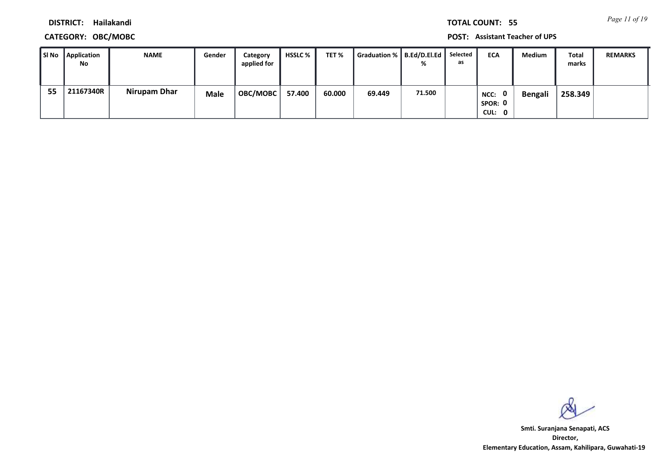*Page 11 of 19* **TOTAL COUNT: 55**

**DISTRICT: Hailakandi**

## **CATEGORY: OBC/MOBC POST: Assistant Teacher of UPS**

| SI No | Application<br>No | <b>NAME</b>  | Gender      | Category<br>applied for | <b>HSSLC</b> % | TET %  | Graduation %   B.Ed/D.El.Ed |        | Selected<br>as | <b>ECA</b>                       | Medium  | <b>Total</b><br>marks | <b>REMARKS</b> |
|-------|-------------------|--------------|-------------|-------------------------|----------------|--------|-----------------------------|--------|----------------|----------------------------------|---------|-----------------------|----------------|
| 55    | 21167340R         | Nirupam Dhar | <b>Male</b> | <b>OBC/MOBC</b>         | 57.400         | 60.000 | 69.449                      | 71.500 |                | - 0<br>NCC:<br>SPOR: 0<br>CUL: 0 | Bengali | 258.349               |                |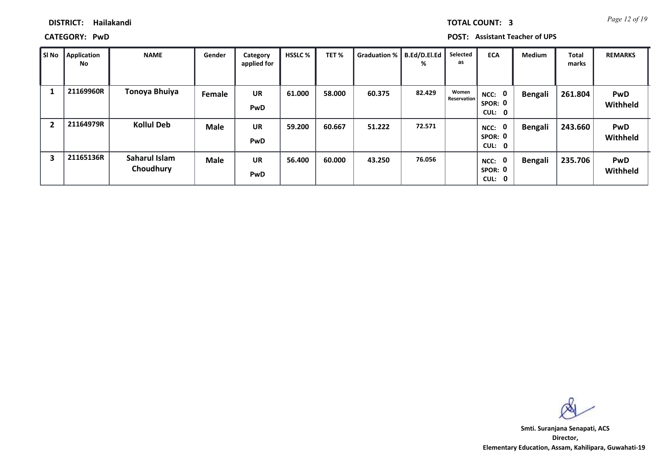*Page 12 of 19* **TOTAL COUNT: 3**

## **DISTRICT: Hailakandi**

**CATEGORY: PwD POST: Assistant Teacher of UPS**

| Sl No | <b>Application</b><br>No | <b>NAME</b>                | Gender      | Category<br>applied for | <b>HSSLC %</b> | TET%   | Graduation %   B.Ed/D.El.Ed | %      | Selected<br>as       | <b>ECA</b>                                              | <b>Medium</b>  | <b>Total</b><br>marks | <b>REMARKS</b>         |
|-------|--------------------------|----------------------------|-------------|-------------------------|----------------|--------|-----------------------------|--------|----------------------|---------------------------------------------------------|----------------|-----------------------|------------------------|
|       | 21169960R                | Tonoya Bhuiya              | Female      | <b>UR</b><br><b>PwD</b> | 61.000         | 58.000 | 60.375                      | 82.429 | Women<br>Reservation | NCC:<br>$\mathbf{0}$<br>SPOR: 0<br>CUL:<br>$\mathbf{0}$ | <b>Bengali</b> | 261.804               | <b>PwD</b><br>Withheld |
| 2     | 21164979R                | <b>Kollul Deb</b>          | <b>Male</b> | <b>UR</b><br><b>PwD</b> | 59.200         | 60.667 | 51.222                      | 72.571 |                      | 0<br>NCC:<br>SPOR: 0<br>CUL: 0                          | <b>Bengali</b> | 243.660               | PwD<br>Withheld        |
| 3     | 21165136R                | Saharul Islam<br>Choudhury | <b>Male</b> | <b>UR</b><br><b>PwD</b> | 56.400         | 60.000 | 43.250                      | 76.056 |                      | 0<br>NCC:<br>SPOR: 0<br>CUL: 0                          | <b>Bengali</b> | 235.706               | <b>PwD</b><br>Withheld |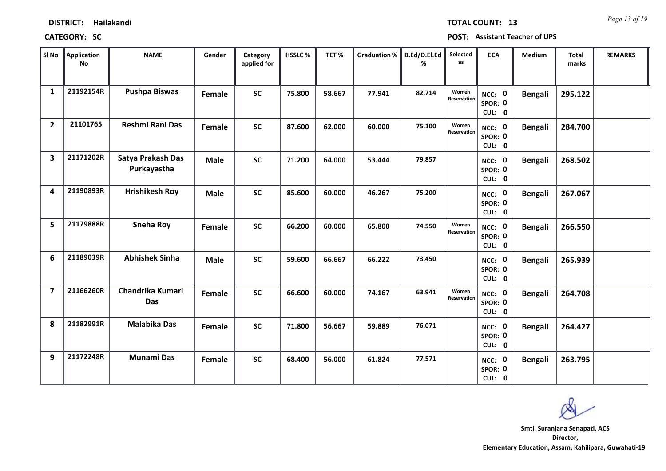| DISTRICT: | Hailakandi |
|-----------|------------|
|-----------|------------|

*Page 13 of 19* **TOTAL COUNT: 13**

| <b>CATEGORY: SC</b> | POST: Assistant Teacher of UPS |
|---------------------|--------------------------------|
|---------------------|--------------------------------|

| SI No                   | Application<br>No | <b>NAME</b>                      | Gender      | Category<br>applied for | HSSLC% | TET%   | <b>Graduation %</b> | B.Ed/D.El.Ed<br>℅ | Selected<br>as       | <b>ECA</b>                         | <b>Medium</b>  | <b>Total</b><br>marks | <b>REMARKS</b> |
|-------------------------|-------------------|----------------------------------|-------------|-------------------------|--------|--------|---------------------|-------------------|----------------------|------------------------------------|----------------|-----------------------|----------------|
| $\mathbf{1}$            | 21192154R         | <b>Pushpa Biswas</b>             | Female      | <b>SC</b>               | 75.800 | 58.667 | 77.941              | 82.714            | Women<br>Reservation | NCC: 0<br>SPOR: 0<br>CUL: 0        | <b>Bengali</b> | 295.122               |                |
| $\overline{2}$          | 21101765          | Reshmi Rani Das                  | Female      | <b>SC</b>               | 87.600 | 62.000 | 60.000              | 75.100            | Women<br>Reservation | NCC: 0<br>SPOR: 0<br>CUL: 0        | <b>Bengali</b> | 284.700               |                |
| 3                       | 21171202R         | Satya Prakash Das<br>Purkayastha | <b>Male</b> | <b>SC</b>               | 71.200 | 64.000 | 53.444              | 79.857            |                      | NCC: 0<br>SPOR: 0<br>CUL: 0        | <b>Bengali</b> | 268.502               |                |
| 4                       | 21190893R         | <b>Hrishikesh Roy</b>            | <b>Male</b> | <b>SC</b>               | 85.600 | 60.000 | 46.267              | 75.200            |                      | NCC: 0<br>SPOR: 0<br>CUL: 0        | <b>Bengali</b> | 267.067               |                |
| 5                       | 21179888R         | <b>Sneha Roy</b>                 | Female      | <b>SC</b>               | 66.200 | 60.000 | 65.800              | 74.550            | Women<br>Reservation | NCC: 0<br>SPOR: 0<br>CUL: 0        | <b>Bengali</b> | 266.550               |                |
| 6                       | 21189039R         | <b>Abhishek Sinha</b>            | <b>Male</b> | <b>SC</b>               | 59.600 | 66.667 | 66.222              | 73.450            |                      | NCC: 0<br>SPOR: 0<br>CUL: 0        | <b>Bengali</b> | 265.939               |                |
| $\overline{\mathbf{z}}$ | 21166260R         | Chandrika Kumari<br>Das          | Female      | <b>SC</b>               | 66.600 | 60.000 | 74.167              | 63.941            | Women<br>Reservation | NCC: 0<br>SPOR: 0<br>CUL: 0        | <b>Bengali</b> | 264.708               |                |
| 8                       | 21182991R         | <b>Malabika Das</b>              | Female      | <b>SC</b>               | 71.800 | 56.667 | 59.889              | 76.071            |                      | <b>NCC: 0</b><br>SPOR: 0<br>CUL: 0 | <b>Bengali</b> | 264.427               |                |
| 9                       | 21172248R         | <b>Munami Das</b>                | Female      | <b>SC</b>               | 68.400 | 56.000 | 61.824              | 77.571            |                      | <b>NCC: 0</b><br>SPOR: 0<br>CUL: 0 | <b>Bengali</b> | 263.795               |                |

 $\infty$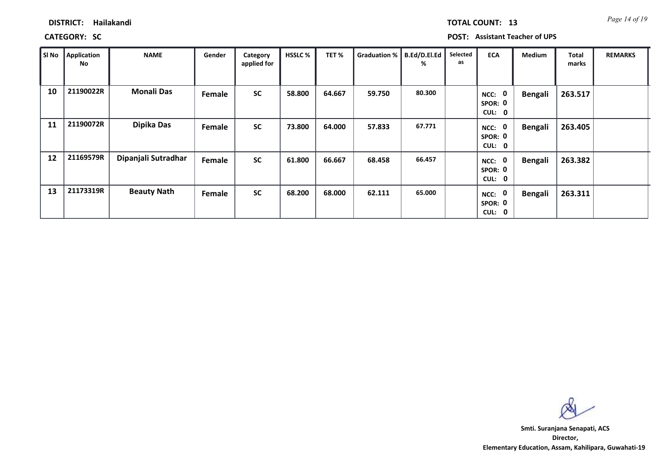|  | <b>TOTAL COUNT:</b> | 1 |
|--|---------------------|---|
|  |                     |   |
|  |                     |   |

**CATEGORY: SC POST: Assistant Teacher of UPS**

| SI No | Application<br>No | <b>NAME</b>         | Gender | Category<br>applied for | <b>HSSLC %</b> | TET%   | Graduation % | B.Ed/D.El.Ed<br>% | Selected<br>as | <b>ECA</b>                                         | Medium         | Total<br>marks | <b>REMARKS</b> |
|-------|-------------------|---------------------|--------|-------------------------|----------------|--------|--------------|-------------------|----------------|----------------------------------------------------|----------------|----------------|----------------|
| 10    | 21190022R         | <b>Monali Das</b>   | Female | <b>SC</b>               | 58.800         | 64.667 | 59.750       | 80.300            |                | $\mathbf 0$<br>NCC:<br>SPOR: 0<br><b>CUL:</b><br>0 | <b>Bengali</b> | 263.517        |                |
| 11    | 21190072R         | Dipika Das          | Female | <b>SC</b>               | 73.800         | 64.000 | 57.833       | 67.771            |                | $\mathbf 0$<br>NCC:<br>SPOR: 0<br>CUL: 0           | <b>Bengali</b> | 263.405        |                |
| 12    | 21169579R         | Dipanjali Sutradhar | Female | <b>SC</b>               | 61.800         | 66.667 | 68.458       | 66.457            |                | 0<br>NCC:<br>SPOR: 0<br>CUL: 0                     | <b>Bengali</b> | 263.382        |                |
| 13    | 21173319R         | <b>Beauty Nath</b>  | Female | <b>SC</b>               | 68.200         | 68.000 | 62.111       | 65.000            |                | $\mathbf 0$<br>NCC:<br>SPOR: 0<br><b>CUL:</b><br>0 | <b>Bengali</b> | 263.311        |                |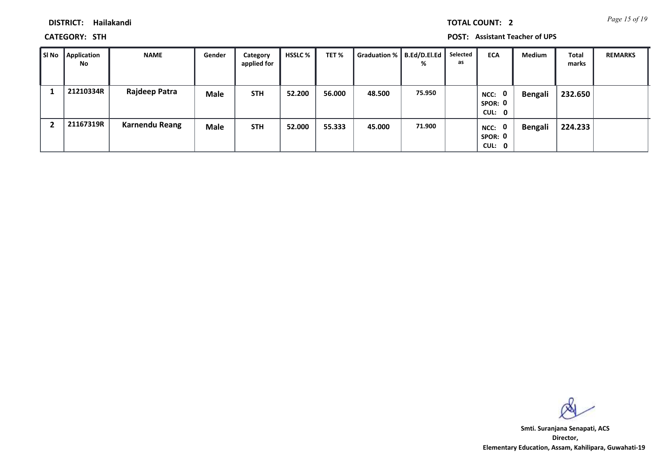*Page 15 of 19* **TOTAL COUNT: 2**

**DISTRICT: Hailakandi**

**CATEGORY: STH POST: Assistant Teacher of UPS**

| l SI No | Application<br><b>No</b> | <b>NAME</b>           | Gender      | Category<br>applied for | <b>HSSLC %</b> | TET%   | Graduation %   B.Ed/D.El.Ed | %      | Selected<br>as | <b>ECA</b>                       | Medium         | <b>Total</b><br>marks | <b>REMARKS</b> |
|---------|--------------------------|-----------------------|-------------|-------------------------|----------------|--------|-----------------------------|--------|----------------|----------------------------------|----------------|-----------------------|----------------|
|         | 21210334R                | Rajdeep Patra         | <b>Male</b> | <b>STH</b>              | 52.200         | 56.000 | 48.500                      | 75.950 |                | NCC: 0<br>SPOR: 0<br>CUL: 0      | <b>Bengali</b> | 232.650               |                |
|         | 21167319R                | <b>Karnendu Reang</b> | Male        | <b>STH</b>              | 52.000         | 55.333 | 45.000                      | 71.900 |                | - 0<br>NCC:<br>SPOR: 0<br>CUL: 0 | <b>Bengali</b> | 224.233               |                |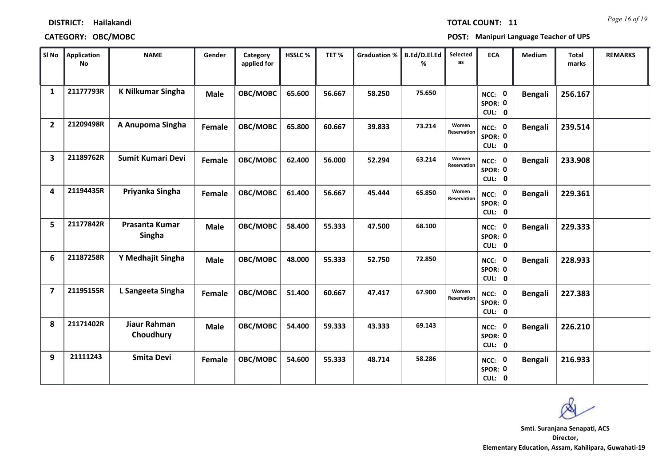# **DISTRICT: Hailakandi CATEGORY:** OBC/MOBC **POST:**

*Page 16 of 19* **TOTAL COUNT: 11**

| Т: | <b>Manipuri Language Teacher of UPS</b> |  |  |  |  |  |
|----|-----------------------------------------|--|--|--|--|--|
|----|-----------------------------------------|--|--|--|--|--|

| SI No          | <b>Application</b><br><b>No</b> | <b>NAME</b>                     | Gender      | Category<br>applied for | HSSLC% | TET%   | <b>Graduation %</b> | B.Ed/D.El.Ed<br>% | Selected<br>as              | <b>ECA</b>                               | Medium         | <b>Total</b><br>marks | <b>REMARKS</b> |
|----------------|---------------------------------|---------------------------------|-------------|-------------------------|--------|--------|---------------------|-------------------|-----------------------------|------------------------------------------|----------------|-----------------------|----------------|
| 1              | 21177793R                       | <b>K Nilkumar Singha</b>        | <b>Male</b> | OBC/MOBC                | 65.600 | 56.667 | 58.250              | 75.650            |                             | $\mathbf 0$<br>NCC:<br>SPOR: 0<br>CUL: 0 | <b>Bengali</b> | 256.167               |                |
| $\overline{2}$ | 21209498R                       | A Anupoma Singha                | Female      | OBC/MOBC                | 65.800 | 60.667 | 39.833              | 73.214            | Women<br><b>Reservation</b> | $\mathbf 0$<br>NCC:<br>SPOR: 0<br>CUL: 0 | <b>Bengali</b> | 239.514               |                |
| 3              | 21189762R                       | <b>Sumit Kumari Devi</b>        | Female      | OBC/MOBC                | 62.400 | 56.000 | 52.294              | 63.214            | Women<br><b>Reservation</b> | NCC: 0<br>SPOR: 0<br>CUL: 0              | <b>Bengali</b> | 233.908               |                |
| 4              | 21194435R                       | Priyanka Singha                 | Female      | OBC/MOBC                | 61.400 | 56.667 | 45.444              | 65.850            | Women<br>Reservation        | NCC: 0<br>SPOR: 0<br>CUL: 0              | <b>Bengali</b> | 229.361               |                |
| 5              | 21177842R                       | Prasanta Kumar<br><b>Singha</b> | <b>Male</b> | OBC/MOBC                | 58.400 | 55.333 | 47.500              | 68.100            |                             | $\mathbf 0$<br>NCC:<br>SPOR: 0<br>CUL: 0 | <b>Bengali</b> | 229.333               |                |
| 6              | 21187258R                       | Y Medhajit Singha               | <b>Male</b> | OBC/MOBC                | 48.000 | 55.333 | 52.750              | 72.850            |                             | NCC: 0<br>SPOR: 0<br>CUL: 0              | <b>Bengali</b> | 228.933               |                |
| $\overline{7}$ | 21195155R                       | L Sangeeta Singha               | Female      | OBC/MOBC                | 51.400 | 60.667 | 47.417              | 67.900            | Women<br><b>Reservation</b> | NCC: 0<br>SPOR: 0<br>CUL: 0              | <b>Bengali</b> | 227.383               |                |
| 8              | 21171402R                       | Jiaur Rahman<br>Choudhury       | <b>Male</b> | OBC/MOBC                | 54.400 | 59.333 | 43.333              | 69.143            |                             | <b>NCC: 0</b><br>SPOR: 0<br>CUL: 0       | <b>Bengali</b> | 226.210               |                |
| 9              | 21111243                        | <b>Smita Devi</b>               | Female      | OBC/MOBC                | 54.600 | 55.333 | 48.714              | 58.286            |                             | $\mathbf 0$<br>NCC:<br>SPOR: 0<br>CUL: 0 | <b>Bengali</b> | 216.933               |                |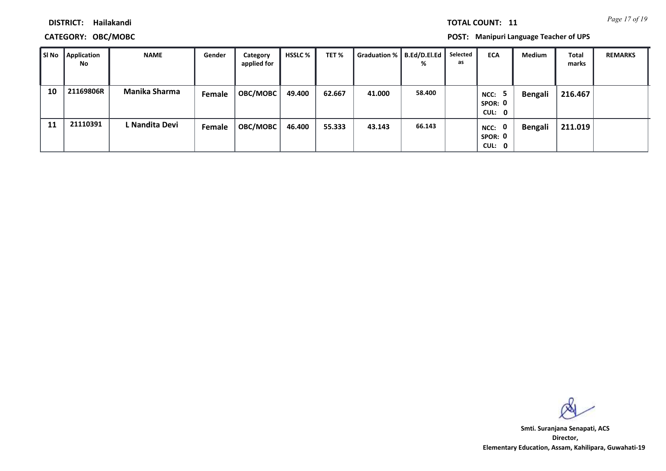*Page 17 of 19* **TOTAL COUNT: 11**

### **DISTRICT: Hailakandi**

**CATEGORY: OBC/MOBC POST: Manipuri Language Teacher of UPS**

| l SI No | Application<br>No | <b>NAME</b>          | Gender | Category<br>applied for | HSSLC % | TET %  | Graduation %   B.Ed/D.El.Ed | %      | Selected<br>as | <b>ECA</b>                               | Medium  | <b>Total</b><br>marks | <b>REMARKS</b> |
|---------|-------------------|----------------------|--------|-------------------------|---------|--------|-----------------------------|--------|----------------|------------------------------------------|---------|-----------------------|----------------|
| 10      | 21169806R         | <b>Manika Sharma</b> | Female | <b>OBC/MOBC</b>         | 49.400  | 62.667 | 41.000                      | 58.400 |                | 5.<br>NCC:<br>SPOR: 0<br>CUL: 0          | Bengali | 216.467               |                |
| 11      | 21110391          | L Nandita Devi       | Female | <b>OBC/MOBC</b>         | 46.400  | 55.333 | 43.143                      | 66.143 |                | $\mathbf 0$<br>NCC:<br>SPOR: 0<br>CUL: 0 | Bengali | 211.019               |                |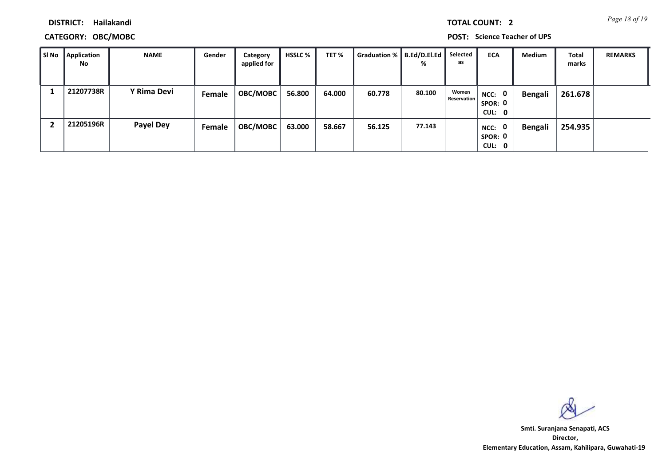*Page 18 of 19* **TOTAL COUNT: 2**

**DISTRICT: Hailakandi**

## **CATEGORY: OBC/MOBC POST: Science Teacher of UPS**

| l SI No | <b>Application</b><br><b>No</b> | <b>NAME</b>      | Gender | Category<br>applied for | HSSLC % | TET %  | Graduation %   B.Ed/D.El.Ed | %      | Selected<br>as       | <b>ECA</b>                     | <b>Medium</b>  | <b>Total</b><br>marks | <b>REMARKS</b> |
|---------|---------------------------------|------------------|--------|-------------------------|---------|--------|-----------------------------|--------|----------------------|--------------------------------|----------------|-----------------------|----------------|
|         | 21207738R                       | Y Rima Devi      | Female | OBC/MOBC                | 56.800  | 64.000 | 60.778                      | 80.100 | Women<br>Reservation | NCC: 0<br>SPOR: 0<br>CUL: 0    | <b>Bengali</b> | 261.678               |                |
|         | 21205196R                       | <b>Payel Dey</b> | Female | OBC/MOBC                | 63.000  | 58.667 | 56.125                      | 77.143 |                      | 0<br>NCC:<br>SPOR: 0<br>CUL: 0 | <b>Bengali</b> | 254.935               |                |